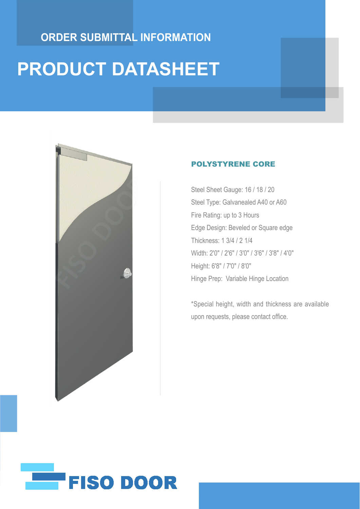### **ORDER SUBMITTAL INFORMATION**

# **PRODUCT DATASHEET**



#### POLYSTYRENE CORE

Steel Sheet Gauge: 16 / 18 / 20 Steel Type: Galvanealed A40 or A60 Fire Rating: up to 3 Hours Edge Design: Beveled or Square edge Thickness: 1 3/4 / 2 1/4 Width: 2'0" / 2'6" / 3'0" / 3'6" / 3'8" / 4'0" Height: 6'8" / 7'0" / 8'0" Hinge Prep: Variable Hinge Location

\*Special height, width and thickness are available upon requests, please contact office.

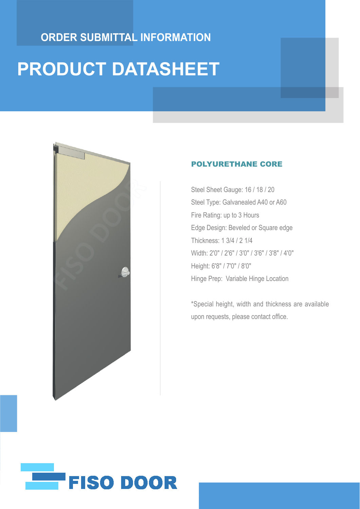### **ORDER SUBMITTAL INFORMATION**

# **PRODUCT DATASHEET**



#### POLYURETHANE CORE

Steel Sheet Gauge: 16 / 18 / 20 Steel Type: Galvanealed A40 or A60 Fire Rating: up to 3 Hours Edge Design: Beveled or Square edge Thickness: 1 3/4 / 2 1/4 Width: 2'0" / 2'6" / 3'0" / 3'6" / 3'8" / 4'0" Height: 6'8" / 7'0" / 8'0" Hinge Prep: Variable Hinge Location

\*Special height, width and thickness are available upon requests, please contact office.